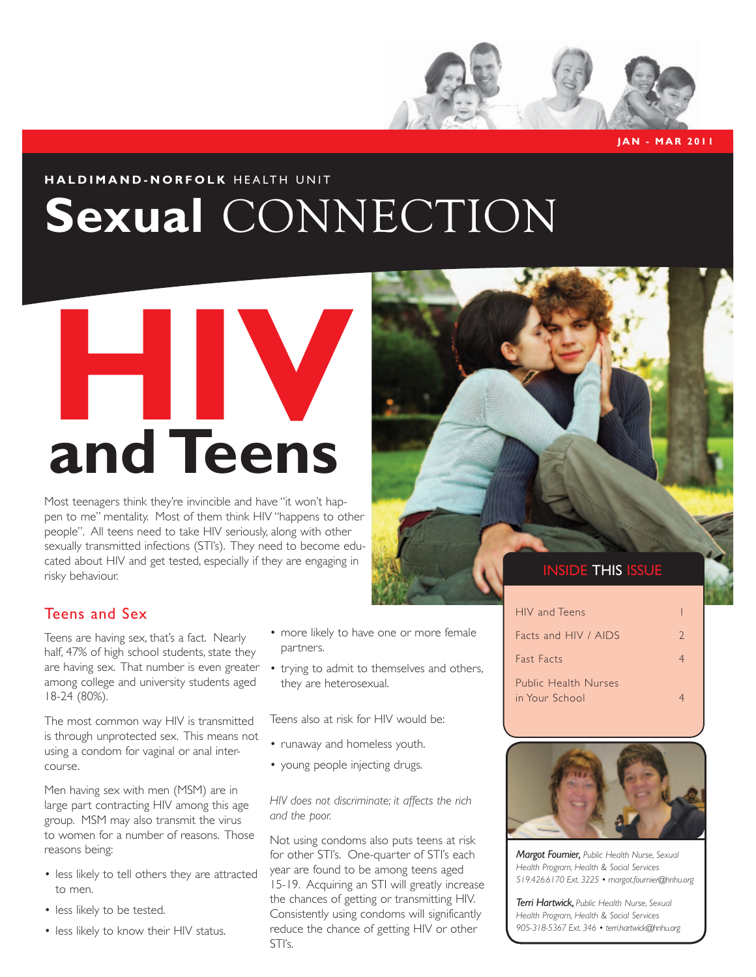

# Sexual CONNECTION



Most teenagers think they're invincible and have "it won't happen to me" mentality. Most of them think HIV "happens to other people". All teens need to take HIV seriously, along with other sexually transmitted infections (STI's). They need to become educated about HIV and get tested, especially if they are engaging in risky behaviour.



### Teens and Sex

Teens are having sex, that's a fact. Nearly half, 47% of high school students, state they are having sex. That number is even greater among college and university students aged 18-24 (80%).

The most common way HIV is transmitted is through unprotected sex. This means not using a condom for vaginal or anal intercourse.

Men having sex with men (MSM) are in large part contracting HIV among this age group. MSM may also transmit the virus to women for a number of reasons. Those reasons being:

- less likely to tell others they are attracted to men.
- less likely to be tested.
- less likely to know their HIV status.
- more likely to have one or more female partners.
- trying to admit to themselves and others, they are heterosexual.

Teens also at risk for HIV would be:

- runaway and homeless youth.
- young people injecting drugs.

#### *HIV does not discriminate; it affects the rich and the poor.*

Not using condoms also puts teens at risk for other STI's. One-quarter of STI's each year are found to be among teens aged 15-19. Acquiring an STI will greatly increase the chances of getting or transmitting HIV. Consistently using condoms will significantly reduce the chance of getting HIV or other STI's.

 **Jan - M ar 2011**

| HIV and Teens                                 |               |
|-----------------------------------------------|---------------|
| Facts and HIV / AIDS                          | $\mathcal{L}$ |
| <b>Fast Facts</b>                             |               |
| <b>Public Health Nurses</b><br>in Your School |               |



*Margot Fournier, Public Health Nurse, Sexual Health Program, Health & Social Services 519.426.6170 Ext. 3225 • margot.fournier@hnhu.org*

*Terri Hartwick, Public Health Nurse, Sexual Health Program, Health & Social Services 905-318-5367 Ext. 346 • terri.hartwick@hnhu.org*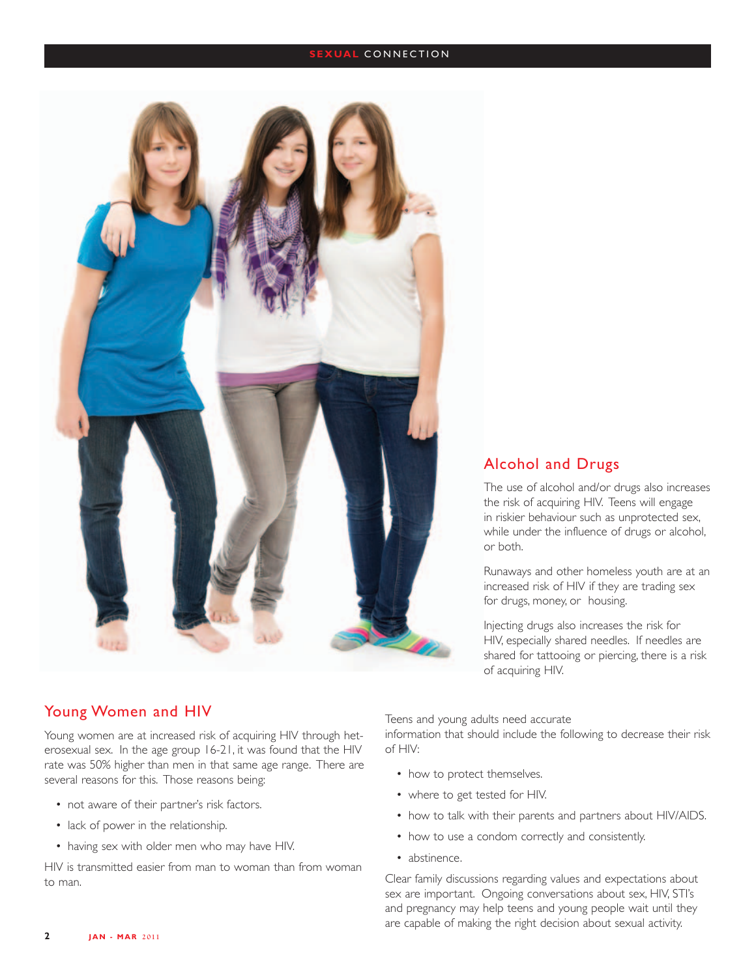#### **SEXUAL CONNECTION**



#### Alcohol and Drugs

The use of alcohol and/or drugs also increases the risk of acquiring HIV. Teens will engage in riskier behaviour such as unprotected sex, while under the influence of drugs or alcohol, or both.

Runaways and other homeless youth are at an increased risk of HIV if they are trading sex for drugs, money, or housing.

Injecting drugs also increases the risk for HIV, especially shared needles. If needles are shared for tattooing or piercing, there is a risk of acquiring HIV.

#### Young Women and HIV

Young women are at increased risk of acquiring HIV through heterosexual sex. In the age group 16-21, it was found that the HIV rate was 50% higher than men in that same age range. There are several reasons for this. Those reasons being:

- not aware of their partner's risk factors.
- lack of power in the relationship.
- having sex with older men who may have HIV.

HIV is transmitted easier from man to woman than from woman to man.

Teens and young adults need accurate

information that should include the following to decrease their risk of HIV:

- how to protect themselves.
- where to get tested for HIV.
- how to talk with their parents and partners about HIV/AIDS.
- how to use a condom correctly and consistently.
- abstinence.

Clear family discussions regarding values and expectations about sex are important. Ongoing conversations about sex, HIV, STI's and pregnancy may help teens and young people wait until they are capable of making the right decision about sexual activity.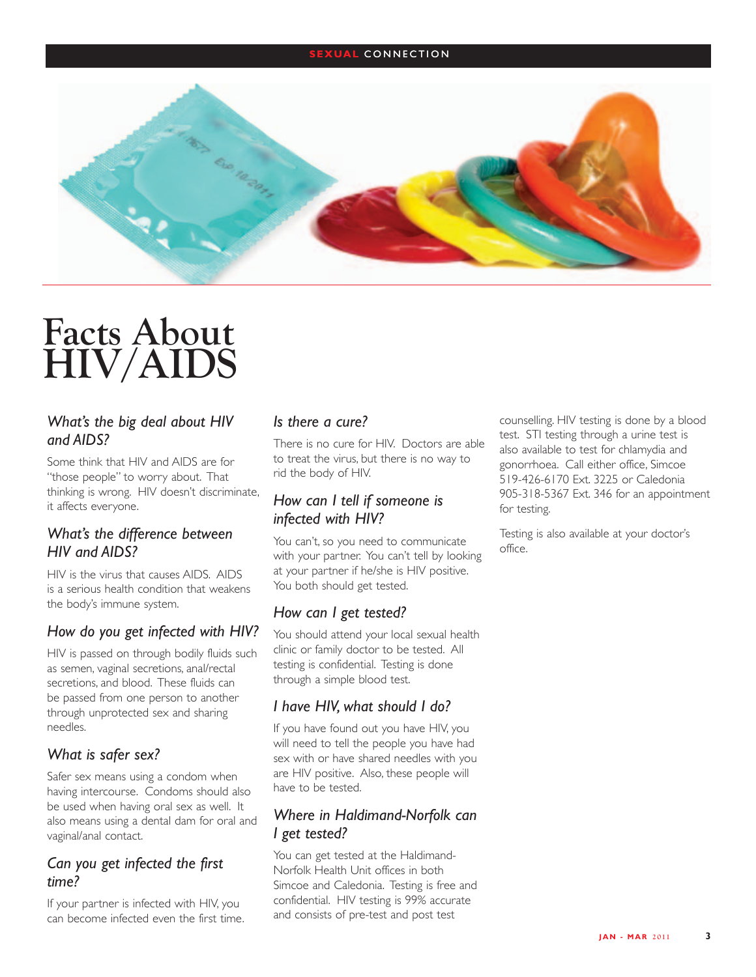#### **SEXUAL CONNECTION**



## **Facts About HIV/AIDS**

#### *What's the big deal about HIV and AIDS?*

Some think that HIV and AIDS are for "those people" to worry about. That thinking is wrong. HIV doesn't discriminate, it affects everyone.

#### *What's the difference between HIV and AIDS?*

HIV is the virus that causes AIDS. AIDS is a serious health condition that weakens the body's immune system.

#### *How do you get infected with HIV?*

HIV is passed on through bodily fluids such as semen, vaginal secretions, anal/rectal secretions, and blood. These fluids can be passed from one person to another through unprotected sex and sharing needles.

#### *What is safer sex?*

Safer sex means using a condom when having intercourse. Condoms should also be used when having oral sex as well. It also means using a dental dam for oral and vaginal/anal contact.

#### *Can you get infected the first time?*

If your partner is infected with HIV, you can become infected even the first time.

#### *Is there a cure?*

There is no cure for HIV. Doctors are able to treat the virus, but there is no way to rid the body of HIV.

#### *How can I tell if someone is infected with HIV?*

You can't, so you need to communicate with your partner. You can't tell by looking at your partner if he/she is HIV positive. You both should get tested.

#### *How can I get tested?*

You should attend your local sexual health clinic or family doctor to be tested. All testing is confidential. Testing is done through a simple blood test.

#### *I have HIV, what should I do?*

If you have found out you have HIV, you will need to tell the people you have had sex with or have shared needles with you are HIV positive. Also, these people will have to be tested.

#### *Where in Haldimand-Norfolk can I get tested?*

You can get tested at the Haldimand-Norfolk Health Unit offices in both Simcoe and Caledonia. Testing is free and confidential. HIV testing is 99% accurate and consists of pre-test and post test

counselling. HIV testing is done by a blood test. STI testing through a urine test is also available to test for chlamydia and gonorrhoea. Call either office, Simcoe 519-426-6170 Ext. 3225 or Caledonia 905-318-5367 Ext. 346 for an appointment for testing.

Testing is also available at your doctor's office.